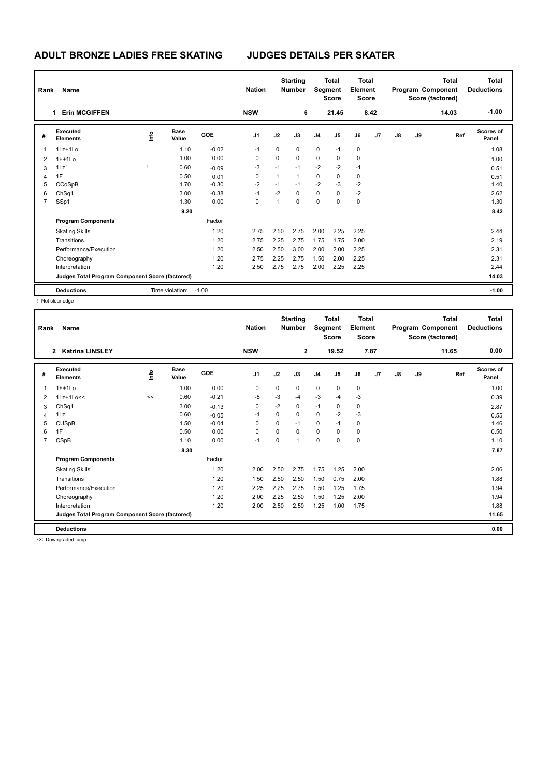| Rank | Name                                            |      |                      |            | <b>Nation</b>  |              | <b>Starting</b><br><b>Number</b> | <b>Total</b><br>Segment<br><b>Score</b> |             | Total<br>Element<br>Score |      | <b>Total</b><br>Program Component<br>Score (factored) |    |       | <b>Total</b><br><b>Deductions</b> |
|------|-------------------------------------------------|------|----------------------|------------|----------------|--------------|----------------------------------|-----------------------------------------|-------------|---------------------------|------|-------------------------------------------------------|----|-------|-----------------------------------|
|      | <b>Erin MCGIFFEN</b>                            |      |                      |            | <b>NSW</b>     |              | 6                                |                                         | 21.45       |                           | 8.42 |                                                       |    | 14.03 | $-1.00$                           |
| #    | Executed<br><b>Elements</b>                     | ١nfo | <b>Base</b><br>Value | <b>GOE</b> | J <sub>1</sub> | J2           | J3                               | J <sub>4</sub>                          | J5          | J6                        | J7   | J8                                                    | J9 | Ref   | <b>Scores of</b><br>Panel         |
| 1    | 1Lz+1Lo                                         |      | 1.10                 | $-0.02$    | $-1$           | 0            | $\mathbf 0$                      | $\mathbf 0$                             | $-1$        | $\pmb{0}$                 |      |                                                       |    |       | 1.08                              |
| 2    | $1F+1Lo$                                        |      | 1.00                 | 0.00       | 0              | 0            | $\mathbf 0$                      | $\mathbf 0$                             | 0           | $\mathbf 0$               |      |                                                       |    |       | 1.00                              |
| 3    | 1Lz!                                            |      | 0.60                 | $-0.09$    | -3             | $-1$         | $-1$                             | $-2$                                    | $-2$        | $-1$                      |      |                                                       |    |       | 0.51                              |
| 4    | 1F                                              |      | 0.50                 | 0.01       | 0              | $\mathbf{1}$ | $\mathbf{1}$                     | $\mathbf 0$                             | $\mathbf 0$ | $\mathbf 0$               |      |                                                       |    |       | 0.51                              |
| 5    | CCoSpB                                          |      | 1.70                 | $-0.30$    | $-2$           | $-1$         | $-1$                             | $-2$                                    | $-3$        | $-2$                      |      |                                                       |    |       | 1.40                              |
| 6    | ChSq1                                           |      | 3.00                 | $-0.38$    | $-1$           | $-2$         | $\mathbf 0$                      | $\mathbf 0$                             | $\mathbf 0$ | $-2$                      |      |                                                       |    |       | 2.62                              |
| 7    | SSp1                                            |      | 1.30                 | 0.00       | 0              | 1            | $\mathbf 0$                      | $\mathbf 0$                             | 0           | 0                         |      |                                                       |    |       | 1.30                              |
|      |                                                 |      | 9.20                 |            |                |              |                                  |                                         |             |                           |      |                                                       |    |       | 8.42                              |
|      | <b>Program Components</b>                       |      |                      | Factor     |                |              |                                  |                                         |             |                           |      |                                                       |    |       |                                   |
|      | <b>Skating Skills</b>                           |      |                      | 1.20       | 2.75           | 2.50         | 2.75                             | 2.00                                    | 2.25        | 2.25                      |      |                                                       |    |       | 2.44                              |
|      | Transitions                                     |      |                      | 1.20       | 2.75           | 2.25         | 2.75                             | 1.75                                    | 1.75        | 2.00                      |      |                                                       |    |       | 2.19                              |
|      | Performance/Execution                           |      |                      | 1.20       | 2.50           | 2.50         | 3.00                             | 2.00                                    | 2.00        | 2.25                      |      |                                                       |    |       | 2.31                              |
|      | Choreography                                    |      |                      | 1.20       | 2.75           | 2.25         | 2.75                             | 1.50                                    | 2.00        | 2.25                      |      |                                                       |    |       | 2.31                              |
|      | Interpretation                                  |      |                      | 1.20       | 2.50           | 2.75         | 2.75                             | 2.00                                    | 2.25        | 2.25                      |      |                                                       |    |       | 2.44                              |
|      | Judges Total Program Component Score (factored) |      |                      |            |                |              |                                  |                                         |             |                           |      |                                                       |    |       | 14.03                             |
|      | <b>Deductions</b>                               |      | Time violation:      | $-1.00$    |                |              |                                  |                                         |             |                           |      |                                                       |    |       | $-1.00$                           |

! Not clear edge

| Rank           | Name                                            |     |                      |            | <b>Nation</b>  |          | <b>Starting</b><br><b>Number</b> | Segment        | <b>Total</b><br><b>Score</b> | <b>Total</b><br>Element<br><b>Score</b> |      |               |    | <b>Total</b><br>Program Component<br>Score (factored) | <b>Total</b><br><b>Deductions</b> |
|----------------|-------------------------------------------------|-----|----------------------|------------|----------------|----------|----------------------------------|----------------|------------------------------|-----------------------------------------|------|---------------|----|-------------------------------------------------------|-----------------------------------|
|                | 2 Katrina LINSLEY                               |     |                      |            | <b>NSW</b>     |          | $\overline{2}$                   |                | 19.52                        |                                         | 7.87 |               |    | 11.65                                                 | 0.00                              |
| #              | Executed<br><b>Elements</b>                     | ١f٥ | <b>Base</b><br>Value | <b>GOE</b> | J <sub>1</sub> | J2       | J3                               | J <sub>4</sub> | J <sub>5</sub>               | J6                                      | J7   | $\mathsf{J}8$ | J9 | Ref                                                   | Scores of<br>Panel                |
| 1              | $1F+1L0$                                        |     | 1.00                 | 0.00       | 0              | 0        | 0                                | $\mathbf 0$    | 0                            | $\pmb{0}$                               |      |               |    |                                                       | 1.00                              |
| 2              | $1Lz+1Lo<<$                                     | <<  | 0.60                 | $-0.21$    | $-5$           | $-3$     | $-4$                             | $-3$           | $-4$                         | $-3$                                    |      |               |    |                                                       | 0.39                              |
| 3              | Ch <sub>Sq1</sub>                               |     | 3.00                 | $-0.13$    | 0              | $-2$     | 0                                | $-1$           | 0                            | 0                                       |      |               |    |                                                       | 2.87                              |
| 4              | 1Lz                                             |     | 0.60                 | $-0.05$    | $-1$           | $\Omega$ | 0                                | 0              | $-2$                         | $-3$                                    |      |               |    |                                                       | 0.55                              |
| 5              | <b>CUSpB</b>                                    |     | 1.50                 | $-0.04$    | $\Omega$       | $\Omega$ | $-1$                             | 0              | $-1$                         | 0                                       |      |               |    |                                                       | 1.46                              |
| 6              | 1F                                              |     | 0.50                 | 0.00       | 0              | $\Omega$ | 0                                | $\mathbf 0$    | $\Omega$                     | $\mathbf 0$                             |      |               |    |                                                       | 0.50                              |
| $\overline{7}$ | CSpB                                            |     | 1.10                 | 0.00       | $-1$           | $\Omega$ | 1                                | $\mathbf 0$    | $\Omega$                     | $\mathbf 0$                             |      |               |    |                                                       | 1.10                              |
|                |                                                 |     | 8.30                 |            |                |          |                                  |                |                              |                                         |      |               |    |                                                       | 7.87                              |
|                | <b>Program Components</b>                       |     |                      | Factor     |                |          |                                  |                |                              |                                         |      |               |    |                                                       |                                   |
|                | <b>Skating Skills</b>                           |     |                      | 1.20       | 2.00           | 2.50     | 2.75                             | 1.75           | 1.25                         | 2.00                                    |      |               |    |                                                       | 2.06                              |
|                | Transitions                                     |     |                      | 1.20       | 1.50           | 2.50     | 2.50                             | 1.50           | 0.75                         | 2.00                                    |      |               |    |                                                       | 1.88                              |
|                | Performance/Execution                           |     |                      | 1.20       | 2.25           | 2.25     | 2.75                             | 1.50           | 1.25                         | 1.75                                    |      |               |    |                                                       | 1.94                              |
|                | Choreography                                    |     |                      | 1.20       | 2.00           | 2.25     | 2.50                             | 1.50           | 1.25                         | 2.00                                    |      |               |    |                                                       | 1.94                              |
|                | Interpretation                                  |     |                      | 1.20       | 2.00           | 2.50     | 2.50                             | 1.25           | 1.00                         | 1.75                                    |      |               |    |                                                       | 1.88                              |
|                | Judges Total Program Component Score (factored) |     |                      |            |                |          |                                  |                |                              |                                         |      |               |    |                                                       | 11.65                             |
|                | <b>Deductions</b>                               |     |                      |            |                |          |                                  |                |                              |                                         |      |               |    |                                                       | 0.00                              |

<< Downgraded jump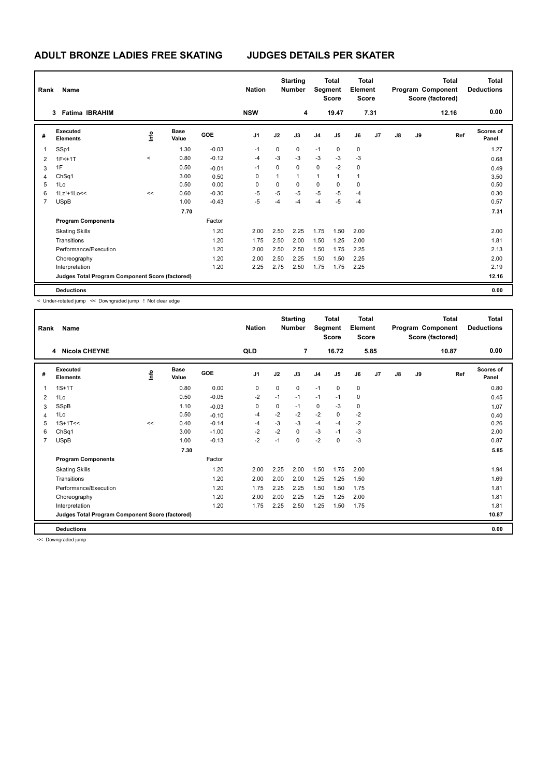| Rank<br><b>Name</b> |                                                 |           |                      |         | <b>Nation</b> |             | <b>Starting</b><br><b>Total</b><br><b>Number</b><br>Segment<br><b>Score</b> |                |             | <b>Total</b><br>Element<br><b>Score</b> |      | <b>Total</b><br>Program Component<br>Score (factored) |    |       | Total<br><b>Deductions</b> |
|---------------------|-------------------------------------------------|-----------|----------------------|---------|---------------|-------------|-----------------------------------------------------------------------------|----------------|-------------|-----------------------------------------|------|-------------------------------------------------------|----|-------|----------------------------|
|                     | <b>Fatima IBRAHIM</b><br>3                      |           |                      |         | <b>NSW</b>    |             | 4                                                                           |                | 19.47       |                                         | 7.31 |                                                       |    | 12.16 | 0.00                       |
| #                   | <b>Executed</b><br><b>Elements</b>              | ١nfo      | <b>Base</b><br>Value | GOE     | J1            | J2          | J3                                                                          | J <sub>4</sub> | J5          | J6                                      | J7   | $\mathsf{J}8$                                         | J9 | Ref   | <b>Scores of</b><br>Panel  |
|                     | SSp1                                            |           | 1.30                 | $-0.03$ | $-1$          | $\mathbf 0$ | $\mathbf 0$                                                                 | $-1$           | $\mathbf 0$ | $\mathbf 0$                             |      |                                                       |    |       | 1.27                       |
| 2                   | $1F<+1T$                                        | $\hat{~}$ | 0.80                 | $-0.12$ | $-4$          | $-3$        | $-3$                                                                        | $-3$           | $-3$        | $-3$                                    |      |                                                       |    |       | 0.68                       |
| 3                   | 1F                                              |           | 0.50                 | $-0.01$ | $-1$          | $\mathbf 0$ | $\mathbf 0$                                                                 | $\mathbf 0$    | $-2$        | 0                                       |      |                                                       |    |       | 0.49                       |
| 4                   | ChSq1                                           |           | 3.00                 | 0.50    | 0             | 1           | $\mathbf{1}$                                                                | $\mathbf{1}$   | 1           | $\overline{1}$                          |      |                                                       |    |       | 3.50                       |
| 5                   | 1Lo                                             |           | 0.50                 | 0.00    | 0             | $\mathbf 0$ | $\mathbf 0$                                                                 | 0              | $\mathbf 0$ | 0                                       |      |                                                       |    |       | 0.50                       |
| 6                   | 1Lz!+1Lo<<                                      | <<        | 0.60                 | $-0.30$ | $-5$          | $-5$        | $-5$                                                                        | $-5$           | $-5$        | -4                                      |      |                                                       |    |       | 0.30                       |
| $\overline{7}$      | <b>USpB</b>                                     |           | 1.00                 | $-0.43$ | $-5$          | -4          | $-4$                                                                        | $-4$           | $-5$        | -4                                      |      |                                                       |    |       | 0.57                       |
|                     |                                                 |           | 7.70                 |         |               |             |                                                                             |                |             |                                         |      |                                                       |    |       | 7.31                       |
|                     | <b>Program Components</b>                       |           |                      | Factor  |               |             |                                                                             |                |             |                                         |      |                                                       |    |       |                            |
|                     | <b>Skating Skills</b>                           |           |                      | 1.20    | 2.00          | 2.50        | 2.25                                                                        | 1.75           | 1.50        | 2.00                                    |      |                                                       |    |       | 2.00                       |
|                     | Transitions                                     |           |                      | 1.20    | 1.75          | 2.50        | 2.00                                                                        | 1.50           | 1.25        | 2.00                                    |      |                                                       |    |       | 1.81                       |
|                     | Performance/Execution                           |           |                      | 1.20    | 2.00          | 2.50        | 2.50                                                                        | 1.50           | 1.75        | 2.25                                    |      |                                                       |    |       | 2.13                       |
|                     | Choreography                                    |           |                      | 1.20    | 2.00          | 2.50        | 2.25                                                                        | 1.50           | 1.50        | 2.25                                    |      |                                                       |    |       | 2.00                       |
|                     | Interpretation                                  |           |                      | 1.20    | 2.25          | 2.75        | 2.50                                                                        | 1.75           | 1.75        | 2.25                                    |      |                                                       |    |       | 2.19                       |
|                     | Judges Total Program Component Score (factored) |           |                      |         |               |             |                                                                             |                |             |                                         |      |                                                       |    |       | 12.16                      |
|                     | <b>Deductions</b>                               |           |                      |         |               |             |                                                                             |                |             |                                         |      |                                                       |    |       | 0.00                       |

< Under-rotated jump << Downgraded jump ! Not clear edge

| Rank           | Name                                            |    |                      | <b>Nation</b> | <b>Starting</b><br><b>Number</b> |             | <b>Total</b><br>Segment<br><b>Score</b> |                | <b>Total</b><br>Element<br><b>Score</b> |      | <b>Total</b><br>Program Component<br>Score (factored) |    |    | <b>Total</b><br><b>Deductions</b> |                           |
|----------------|-------------------------------------------------|----|----------------------|---------------|----------------------------------|-------------|-----------------------------------------|----------------|-----------------------------------------|------|-------------------------------------------------------|----|----|-----------------------------------|---------------------------|
|                | 4 Nicola CHEYNE                                 |    |                      |               | QLD                              |             | $\overline{7}$                          |                | 16.72                                   |      | 5.85                                                  |    |    | 10.87                             | 0.00                      |
| #              | Executed<br><b>Elements</b>                     | ١m | <b>Base</b><br>Value | GOE           | J <sub>1</sub>                   | J2          | J3                                      | J <sub>4</sub> | J5                                      | J6   | J7                                                    | J8 | J9 | Ref                               | <b>Scores of</b><br>Panel |
| $\mathbf{1}$   | $1S+1T$                                         |    | 0.80                 | 0.00          | 0                                | $\mathbf 0$ | 0                                       | $-1$           | $\pmb{0}$                               | 0    |                                                       |    |    |                                   | 0.80                      |
| 2              | 1Lo                                             |    | 0.50                 | $-0.05$       | $-2$                             | $-1$        | $-1$                                    | $-1$           | $-1$                                    | 0    |                                                       |    |    |                                   | 0.45                      |
| 3              | SSpB                                            |    | 1.10                 | $-0.03$       | 0                                | 0           | $-1$                                    | $\pmb{0}$      | $-3$                                    | 0    |                                                       |    |    |                                   | 1.07                      |
| 4              | 1Lo                                             |    | 0.50                 | $-0.10$       | -4                               | $-2$        | $-2$                                    | $-2$           | $\Omega$                                | $-2$ |                                                       |    |    |                                   | 0.40                      |
| 5              | $1S+1T<<$                                       | << | 0.40                 | $-0.14$       | -4                               | $-3$        | $-3$                                    | $-4$           | $-4$                                    | $-2$ |                                                       |    |    |                                   | 0.26                      |
| 6              | ChSq1                                           |    | 3.00                 | $-1.00$       | $-2$                             | $-2$        | 0                                       | $-3$           | $-1$                                    | -3   |                                                       |    |    |                                   | 2.00                      |
| $\overline{7}$ | <b>USpB</b>                                     |    | 1.00                 | $-0.13$       | $-2$                             | $-1$        | $\Omega$                                | $-2$           | $\Omega$                                | $-3$ |                                                       |    |    |                                   | 0.87                      |
|                |                                                 |    | 7.30                 |               |                                  |             |                                         |                |                                         |      |                                                       |    |    |                                   | 5.85                      |
|                | <b>Program Components</b>                       |    |                      | Factor        |                                  |             |                                         |                |                                         |      |                                                       |    |    |                                   |                           |
|                | <b>Skating Skills</b>                           |    |                      | 1.20          | 2.00                             | 2.25        | 2.00                                    | 1.50           | 1.75                                    | 2.00 |                                                       |    |    |                                   | 1.94                      |
|                | Transitions                                     |    |                      | 1.20          | 2.00                             | 2.00        | 2.00                                    | 1.25           | 1.25                                    | 1.50 |                                                       |    |    |                                   | 1.69                      |
|                | Performance/Execution                           |    |                      | 1.20          | 1.75                             | 2.25        | 2.25                                    | 1.50           | 1.50                                    | 1.75 |                                                       |    |    |                                   | 1.81                      |
|                | Choreography                                    |    |                      | 1.20          | 2.00                             | 2.00        | 2.25                                    | 1.25           | 1.25                                    | 2.00 |                                                       |    |    |                                   | 1.81                      |
|                | Interpretation                                  |    |                      | 1.20          | 1.75                             | 2.25        | 2.50                                    | 1.25           | 1.50                                    | 1.75 |                                                       |    |    |                                   | 1.81                      |
|                | Judges Total Program Component Score (factored) |    |                      |               |                                  |             |                                         |                |                                         |      |                                                       |    |    |                                   | 10.87                     |
|                | <b>Deductions</b>                               |    |                      |               |                                  |             |                                         |                |                                         |      |                                                       |    |    |                                   | 0.00                      |

<< Downgraded jump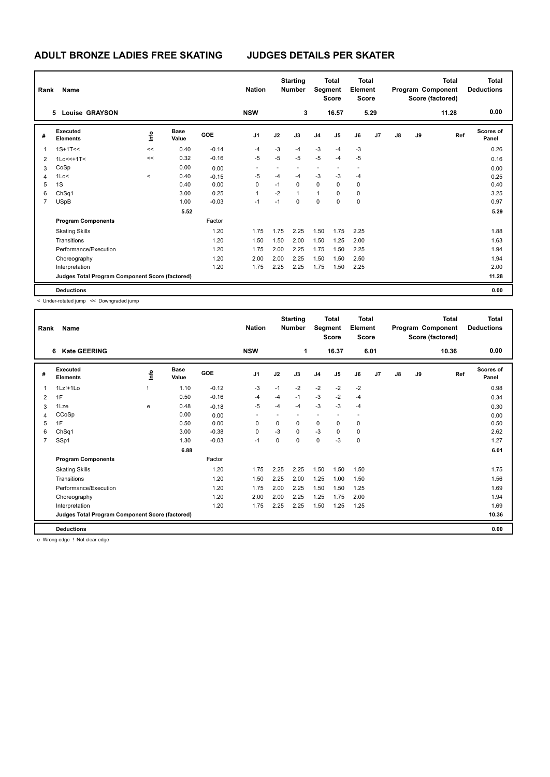| Rank | Name                                            |                          |                      |            | <b>Nation</b>  |      | <b>Starting</b><br><b>Number</b> | <b>Total</b><br>Segment<br><b>Score</b> |       | Total<br>Element<br><b>Score</b> |      | Total<br>Program Component<br>Score (factored) |    |       | <b>Total</b><br><b>Deductions</b> |
|------|-------------------------------------------------|--------------------------|----------------------|------------|----------------|------|----------------------------------|-----------------------------------------|-------|----------------------------------|------|------------------------------------------------|----|-------|-----------------------------------|
|      | <b>Louise GRAYSON</b><br>5.                     |                          |                      |            | <b>NSW</b>     |      | 3                                |                                         | 16.57 |                                  | 5.29 |                                                |    | 11.28 | 0.00                              |
| #    | Executed<br><b>Elements</b>                     | ١nfo                     | <b>Base</b><br>Value | <b>GOE</b> | J <sub>1</sub> | J2   | J3                               | J <sub>4</sub>                          | J5    | J6                               | J7   | J8                                             | J9 | Ref   | <b>Scores of</b><br>Panel         |
| 1    | $1S+1T<<$                                       | <<                       | 0.40                 | $-0.14$    | $-4$           | $-3$ | $-4$                             | $-3$                                    | $-4$  | $-3$                             |      |                                                |    |       | 0.26                              |
| 2    | $1Lo<<+1T<$                                     | <<                       | 0.32                 | $-0.16$    | $-5$           | $-5$ | $-5$                             | $-5$                                    | $-4$  | $-5$                             |      |                                                |    |       | 0.16                              |
| 3    | CoSp                                            |                          | 0.00                 | 0.00       |                |      |                                  |                                         |       |                                  |      |                                                |    |       | 0.00                              |
| 4    | 1Lo<                                            | $\overline{\phantom{a}}$ | 0.40                 | $-0.15$    | $-5$           | $-4$ | $-4$                             | $-3$                                    | $-3$  | $-4$                             |      |                                                |    |       | 0.25                              |
| 5    | 1S                                              |                          | 0.40                 | 0.00       | 0              | $-1$ | $\mathbf 0$                      | 0                                       | 0     | 0                                |      |                                                |    |       | 0.40                              |
| 6    | Ch <sub>Sq1</sub>                               |                          | 3.00                 | 0.25       | 1              | $-2$ | $\mathbf{1}$                     | $\mathbf{1}$                            | 0     | 0                                |      |                                                |    |       | 3.25                              |
| 7    | <b>USpB</b>                                     |                          | 1.00                 | $-0.03$    | $-1$           | $-1$ | 0                                | $\pmb{0}$                               | 0     | 0                                |      |                                                |    |       | 0.97                              |
|      |                                                 |                          | 5.52                 |            |                |      |                                  |                                         |       |                                  |      |                                                |    |       | 5.29                              |
|      | <b>Program Components</b>                       |                          |                      | Factor     |                |      |                                  |                                         |       |                                  |      |                                                |    |       |                                   |
|      | <b>Skating Skills</b>                           |                          |                      | 1.20       | 1.75           | 1.75 | 2.25                             | 1.50                                    | 1.75  | 2.25                             |      |                                                |    |       | 1.88                              |
|      | Transitions                                     |                          |                      | 1.20       | 1.50           | 1.50 | 2.00                             | 1.50                                    | 1.25  | 2.00                             |      |                                                |    |       | 1.63                              |
|      | Performance/Execution                           |                          |                      | 1.20       | 1.75           | 2.00 | 2.25                             | 1.75                                    | 1.50  | 2.25                             |      |                                                |    |       | 1.94                              |
|      | Choreography                                    |                          |                      | 1.20       | 2.00           | 2.00 | 2.25                             | 1.50                                    | 1.50  | 2.50                             |      |                                                |    |       | 1.94                              |
|      | Interpretation                                  |                          |                      | 1.20       | 1.75           | 2.25 | 2.25                             | 1.75                                    | 1.50  | 2.25                             |      |                                                |    |       | 2.00                              |
|      | Judges Total Program Component Score (factored) |                          |                      |            |                |      |                                  |                                         |       |                                  |      |                                                |    |       | 11.28                             |
|      | <b>Deductions</b>                               |                          |                      |            |                |      |                                  |                                         |       |                                  |      |                                                |    |       | 0.00                              |

< Under-rotated jump << Downgraded jump

| Rank           | Name                                            |    |                      | <b>Nation</b> |                | <b>Starting</b><br><b>Number</b> |                | <b>Total</b><br>Segment<br><b>Score</b> | <b>Total</b><br>Element<br><b>Score</b> |                          | <b>Total</b><br>Program Component<br>Score (factored) |    |    | <b>Total</b><br><b>Deductions</b> |                           |
|----------------|-------------------------------------------------|----|----------------------|---------------|----------------|----------------------------------|----------------|-----------------------------------------|-----------------------------------------|--------------------------|-------------------------------------------------------|----|----|-----------------------------------|---------------------------|
|                | <b>Kate GEERING</b><br>6                        |    |                      |               | <b>NSW</b>     |                                  | $\mathbf{1}$   |                                         | 16.37                                   |                          | 6.01                                                  |    |    | 10.36                             | 0.00                      |
| #              | Executed<br><b>Elements</b>                     | ١m | <b>Base</b><br>Value | GOE           | J <sub>1</sub> | J2                               | J3             | J <sub>4</sub>                          | J5                                      | J6                       | J7                                                    | J8 | J9 | Ref                               | <b>Scores of</b><br>Panel |
| $\mathbf{1}$   | $1Lz! + 1Lo$                                    |    | 1.10                 | $-0.12$       | $-3$           | $-1$                             | $-2$           | $-2$                                    | $-2$                                    | $-2$                     |                                                       |    |    |                                   | 0.98                      |
| 2              | 1F                                              |    | 0.50                 | $-0.16$       | $-4$           | -4                               | $-1$           | $-3$                                    | $-2$                                    | $-4$                     |                                                       |    |    |                                   | 0.34                      |
| 3              | 1Lze                                            | e  | 0.48                 | $-0.18$       | $-5$           | -4                               | $-4$           | $-3$                                    | $-3$                                    | $-4$                     |                                                       |    |    |                                   | 0.30                      |
| $\overline{4}$ | CCoSp                                           |    | 0.00                 | 0.00          | ٠              |                                  | $\overline{a}$ | $\overline{\phantom{0}}$                | $\overline{\phantom{a}}$                | $\overline{\phantom{a}}$ |                                                       |    |    |                                   | 0.00                      |
| 5              | 1F                                              |    | 0.50                 | 0.00          | $\mathbf 0$    | 0                                | 0              | $\mathbf 0$                             | 0                                       | 0                        |                                                       |    |    |                                   | 0.50                      |
| 6              | ChSq1                                           |    | 3.00                 | $-0.38$       | 0              | $-3$                             | 0              | $-3$                                    | $\Omega$                                | 0                        |                                                       |    |    |                                   | 2.62                      |
| $\overline{7}$ | SSp1                                            |    | 1.30                 | $-0.03$       | $-1$           | $\Omega$                         | $\Omega$       | 0                                       | $-3$                                    | $\mathbf 0$              |                                                       |    |    |                                   | 1.27                      |
|                |                                                 |    | 6.88                 |               |                |                                  |                |                                         |                                         |                          |                                                       |    |    |                                   | 6.01                      |
|                | <b>Program Components</b>                       |    |                      | Factor        |                |                                  |                |                                         |                                         |                          |                                                       |    |    |                                   |                           |
|                | <b>Skating Skills</b>                           |    |                      | 1.20          | 1.75           | 2.25                             | 2.25           | 1.50                                    | 1.50                                    | 1.50                     |                                                       |    |    |                                   | 1.75                      |
|                | Transitions                                     |    |                      | 1.20          | 1.50           | 2.25                             | 2.00           | 1.25                                    | 1.00                                    | 1.50                     |                                                       |    |    |                                   | 1.56                      |
|                | Performance/Execution                           |    |                      | 1.20          | 1.75           | 2.00                             | 2.25           | 1.50                                    | 1.50                                    | 1.25                     |                                                       |    |    |                                   | 1.69                      |
|                | Choreography                                    |    |                      | 1.20          | 2.00           | 2.00                             | 2.25           | 1.25                                    | 1.75                                    | 2.00                     |                                                       |    |    |                                   | 1.94                      |
|                | Interpretation                                  |    |                      | 1.20          | 1.75           | 2.25                             | 2.25           | 1.50                                    | 1.25                                    | 1.25                     |                                                       |    |    |                                   | 1.69                      |
|                | Judges Total Program Component Score (factored) |    |                      |               |                |                                  |                |                                         |                                         |                          |                                                       |    |    |                                   | 10.36                     |
|                | <b>Deductions</b>                               |    |                      |               |                |                                  |                |                                         |                                         |                          |                                                       |    |    |                                   | 0.00                      |

e Wrong edge ! Not clear edge